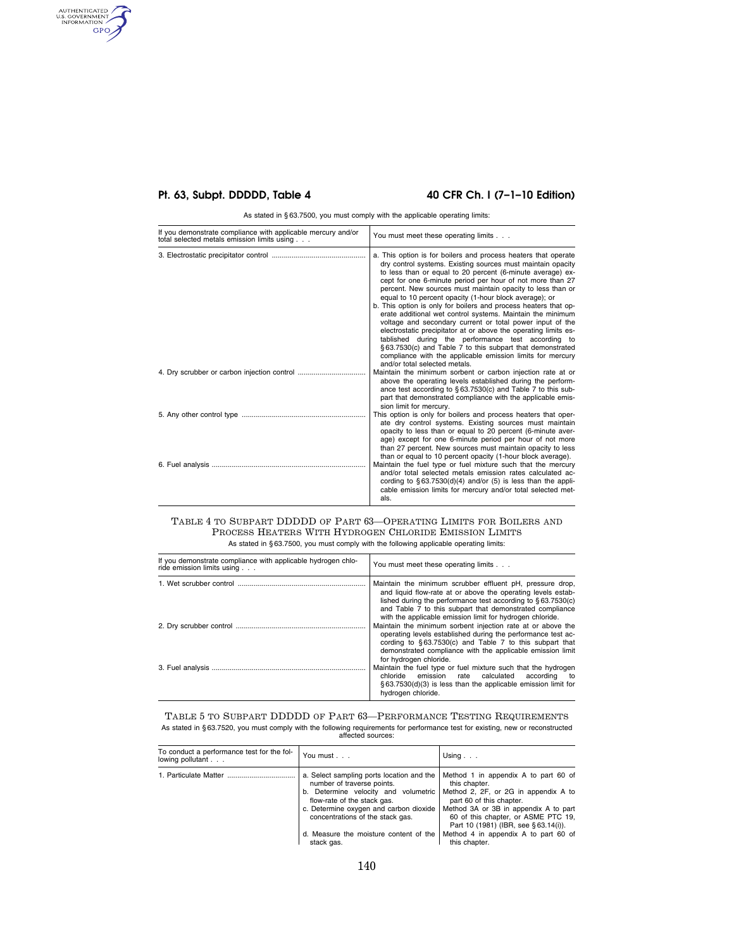# **Pt. 63, Subpt. DDDDD, Table 4 40 CFR Ch. I (7-1-10 Edition)**

AUTHENTICATED<br>U.S. GOVERNMENT<br>INFORMATION<br>GPO

As stated in § 63.7500, you must comply with the applicable operating limits:

| If you demonstrate compliance with applicable mercury and/or<br>total selected metals emission limits using | You must meet these operating limits                                                                                                                                                                                                                                                                                                                                                                                                                                                                                                                                                                                                                                                                                                                                                                                                                                |
|-------------------------------------------------------------------------------------------------------------|---------------------------------------------------------------------------------------------------------------------------------------------------------------------------------------------------------------------------------------------------------------------------------------------------------------------------------------------------------------------------------------------------------------------------------------------------------------------------------------------------------------------------------------------------------------------------------------------------------------------------------------------------------------------------------------------------------------------------------------------------------------------------------------------------------------------------------------------------------------------|
|                                                                                                             | a. This option is for boilers and process heaters that operate<br>dry control systems. Existing sources must maintain opacity<br>to less than or equal to 20 percent (6-minute average) ex-<br>cept for one 6-minute period per hour of not more than 27<br>percent. New sources must maintain opacity to less than or<br>equal to 10 percent opacity (1-hour block average); or<br>b. This option is only for boilers and process heaters that op-<br>erate additional wet control systems. Maintain the minimum<br>voltage and secondary current or total power input of the<br>electrostatic precipitator at or above the operating limits es-<br>tablished during the performance test according to<br>§63.7530(c) and Table 7 to this subpart that demonstrated<br>compliance with the applicable emission limits for mercury<br>and/or total selected metals. |
|                                                                                                             | Maintain the minimum sorbent or carbon injection rate at or<br>above the operating levels established during the perform-<br>ance test according to $\S 63.7530(c)$ and Table 7 to this sub-<br>part that demonstrated compliance with the applicable emis-<br>sion limit for mercury.                                                                                                                                                                                                                                                                                                                                                                                                                                                                                                                                                                              |
|                                                                                                             | This option is only for boilers and process heaters that oper-<br>ate dry control systems. Existing sources must maintain<br>opacity to less than or equal to 20 percent (6-minute aver-<br>age) except for one 6-minute period per hour of not more<br>than 27 percent. New sources must maintain opacity to less<br>than or equal to 10 percent opacity (1-hour block average).                                                                                                                                                                                                                                                                                                                                                                                                                                                                                   |
|                                                                                                             | Maintain the fuel type or fuel mixture such that the mercury<br>and/or total selected metals emission rates calculated ac-<br>cording to $\S 63.7530(d)(4)$ and/or (5) is less than the appli-<br>cable emission limits for mercury and/or total selected met-<br>als.                                                                                                                                                                                                                                                                                                                                                                                                                                                                                                                                                                                              |

### TABLE 4 TO SUBPART DDDDD OF PART 63—OPERATING LIMITS FOR BOILERS AND PROCESS HEATERS WITH HYDROGEN CHLORIDE EMISSION LIMITS As stated in § 63.7500, you must comply with the following applicable operating limits:

| If you demonstrate compliance with applicable hydrogen chlo-<br>ride emission limits using | You must meet these operating limits                                                                                                                                                                                                                                                                              |
|--------------------------------------------------------------------------------------------|-------------------------------------------------------------------------------------------------------------------------------------------------------------------------------------------------------------------------------------------------------------------------------------------------------------------|
|                                                                                            | Maintain the minimum scrubber effluent pH, pressure drop,<br>and liquid flow-rate at or above the operating levels estab-<br>lished during the performance test according to §63.7530(c)<br>and Table 7 to this subpart that demonstrated compliance<br>with the applicable emission limit for hydrogen chloride. |
|                                                                                            | Maintain the minimum sorbent injection rate at or above the<br>operating levels established during the performance test ac-<br>cording to §63.7530(c) and Table 7 to this subpart that<br>demonstrated compliance with the applicable emission limit<br>for hydrogen chloride.                                    |
|                                                                                            | Maintain the fuel type or fuel mixture such that the hydrogen<br>chloride emission rate calculated<br>according<br>to<br>§63.7530(d)(3) is less than the applicable emission limit for<br>hydrogen chloride.                                                                                                      |

# TABLE 5 TO SUBPART DDDDD OF PART 63—PERFORMANCE TESTING REQUIREMENTS As stated in § 63.7520, you must comply with the following requirements for performance test for existing, new or reconstructed affected sources:

| To conduct a performance test for the fol-<br>lowing pollutant | You must                                                                                                                                                                                                                                                                             | Using $\ldots$                                                                                                                                                                                                                                                                                             |
|----------------------------------------------------------------|--------------------------------------------------------------------------------------------------------------------------------------------------------------------------------------------------------------------------------------------------------------------------------------|------------------------------------------------------------------------------------------------------------------------------------------------------------------------------------------------------------------------------------------------------------------------------------------------------------|
| 1. Particulate Matter                                          | a. Select sampling ports location and the<br>number of traverse points.<br>b. Determine velocity and volumetric<br>flow-rate of the stack gas.<br>c. Determine oxygen and carbon dioxide<br>concentrations of the stack gas.<br>d. Measure the moisture content of the<br>stack gas. | Method 1 in appendix A to part 60 of<br>this chapter.<br>Method 2, 2F, or 2G in appendix A to<br>part 60 of this chapter.<br>Method 3A or 3B in appendix A to part<br>60 of this chapter, or ASME PTC 19,<br>Part 10 (1981) (IBR, see §63.14(i)).<br>Method 4 in appendix A to part 60 of<br>this chapter. |